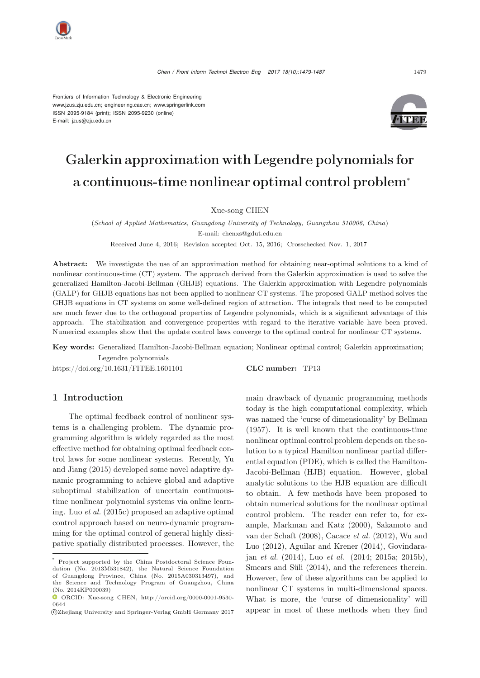Frontiers of Information Technology & Electronic Engineering [www.jzus.zju.edu.cn;](www.jzus.zju.edu.cn) [engineering.cae.cn;](engineering.cae.cn)<www.springerlink.com> ISSN 2095-9184 (print); ISSN 2095-9230 (online) E-mail: jzus@zju.edu.cn



# Galerkin approximation with Legendre polynomials for a continuous-time nonlinear optimal control problem<sup>∗</sup>

Xue-song CHEN

(*School of Applied Mathematics, Guangdong University of Technology, Guangzhou 510006, China*) E-mail: chenxs@gdut.edu.cn Received June 4, 2016; Revision accepted Oct. 15, 2016; Crosschecked Nov. 1, 2017

Abstract: We investigate the use of an approximation method for obtaining near-optimal solutions to a kind of nonlinear continuous-time (CT) system. The approach derived from the Galerkin approximation is used to solve the generalized Hamilton-Jacobi-Bellman (GHJB) equations. The Galerkin approximation with Legendre polynomials (GALP) for GHJB equations has not been applied to nonlinear CT systems. The proposed GALP method solves the GHJB equations in CT systems on some well-defined region of attraction. The integrals that need to be computed are much fewer due to the orthogonal properties of Legendre polynomials, which is a significant advantage of this approach. The stabilization and convergence properties with regard to the iterative variable have been proved. Numerical examples show that the update control laws converge to the optimal control for nonlinear CT systems.

Key words: Generalized Hamilton-Jacobi-Bellman equation; Nonlinear optimal control; Galerkin approximation; Legendre polynomials

https://doi.org/10.1631/FITEE.1601101 CLC number: TP13

# 1 Introduction

The optimal feedback control of nonlinear systems is a challenging problem. The dynamic programming algorithm is widely regarded as the most effective method for obtaining optimal feedback control laws [for](#page-8-0) [some](#page-8-0) [nonlinear](#page-8-0) [systems.](#page-8-0) [Recently,](#page-8-0) Yu and Jiang [\(2015](#page-8-0)) developed some novel adaptive dynamic programming to achieve global and adaptive suboptimal stabilization of uncertain continuoustime nonlinear polynomial systems via online learning. Luo *[et al.](#page-8-1)* [\(2015c](#page-8-1)) proposed an adaptive optimal control approach based on neuro-dynamic programming for the optimal control of general highly dissipative spatially distributed processes. However, the

main drawback of dynamic programming methods today is the high computational complexity, which was named the 'curse of dimensionality' by [Bellman](#page-8-2) [\(1957](#page-8-2)). It is well known that the continuous-time nonlinear optimal control problem depends on the solution to a typical Hamilton nonlinear partial differential equation (PDE), which is called the Hamilton-Jacobi-Bellman (HJB) equation. However, global analytic solutions to the HJB equation are difficult to obtain. A few methods have been proposed to obtain numerical solutions for the nonlinear optimal control problem. The reader can refer to, for example, [Markman and Katz](#page-8-3) [\(2000\)](#page-8-3), Sakamoto and van [der](#page-8-6) [Schaft](#page-8-6) [\(2008\)](#page-8-4)[,](#page-8-6) [Cacace](#page-8-5) *et al.* [\(2012](#page-8-5)), Wu and Luo [\(2012](#page-8-6)[\),](#page-8-8) [Aguilar and Krener](#page-8-7) [\(2014](#page-8-7)[\),](#page-8-8) Govindarajan *et al.* [\(2014](#page-8-8)), Luo *et al.* (2014; 2015a; 2015b), [Smears and Süli](#page-8-9) [\(2014\)](#page-8-9), and the references therein. However, few of these algorithms can be applied to nonlinear CT systems in multi-dimensional spaces. What is more, the 'curse of dimensionality' will appear in most of these methods when they find

Project supported by the China Postdoctoral Science Foundation (No. 2013M531842), the Natural Science Foundation of Guangdong Province, China (No. 2015A030313497), and the Science and Technology Program of Guangzhou, China (No. 2014KP000039)

ORCID: Xue-song CHEN, http://orcid.org/0000-0001-9530- 0644

c Zhejiang University and Springer-Verlag GmbH Germany 2017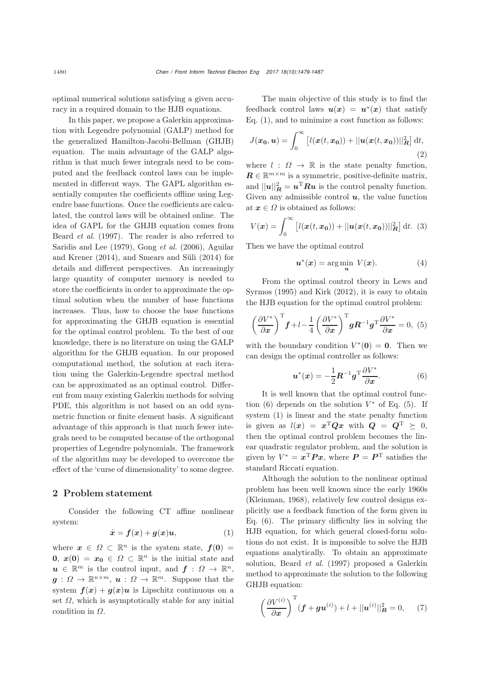optimal numerical solutions satisfying a given accuracy in a required domain to the HJB equations.

In this paper, we propose a Galerkin approximation with Legendre polynomial (GALP) method for the generalized Hamilton-Jacobi-Bellman (GHJB) equation. The main advantage of the GALP algorithm is that much fewer integrals need to be computed and the feedback control laws can be implemented in different ways. The GAPL algorithm essentially computes the coefficients offline using Legendre base functions. Once the coefficients are calculated, the control laws will be obtained online. The idea of GAPL for the GHJB equation comes from [Beard](#page-8-10) *et al.* [\(1997\)](#page-8-10). The reader is also referred to [Saridis and Lee](#page-8-11) [\(1979](#page-8-11)[\),](#page-8-7) [Gong](#page-8-12) *et al.* [\(2006\)](#page-8-12), Aguilar and Krener [\(2014](#page-8-7)), and [Smears and Süli](#page-8-9) [\(2014\)](#page-8-9) for details and different perspectives. An increasingly large quantity of computer memory is needed to store the coefficients in order to approximate the optimal solution when the number of base functions increases. Thus, how to choose the base functions for approximating the GHJB equation is essential for the optimal control problem. To the best of our knowledge, there is no literature on using the GALP algorithm for the GHJB equation. In our proposed computational method, the solution at each iteration using the Galerkin-Legendre spectral method can be approximated as an optimal control. Different from many existing Galerkin methods for solving PDE, this algorithm is not based on an odd symmetric function or finite element basis. A significant advantage of this approach is that much fewer integrals need to be computed because of the orthogonal properties of Legendre polynomials. The framework of the algorithm may be developed to overcome the effect of the 'curse of dimensionality' to some degree.

#### 2 Problem statement

Consider the following CT affine nonlinear system:

<span id="page-1-0"></span>
$$
\dot{x} = f(x) + g(x)u, \qquad (1)
$$

where  $x \in \Omega \subset \mathbb{R}^n$  is the system state,  $f(0) =$ **0**,  $x(0) = x_0 \in \Omega \subset \mathbb{R}^n$  is the initial state and  $u \in \mathbb{R}^m$  is the control input, and  $f: \Omega \to \mathbb{R}^n$ ,  $g: \Omega \to \mathbb{R}^{n \times m}, u: \Omega \to \mathbb{R}^m$ . Suppose that the system  $f(x) + g(x)u$  is Lipschitz continuous on a set  $\Omega$ , which is asymptotically stable for any initial condition in  $\Omega$ .

The main objective of this study is to find the feedback control laws  $u(x) = u^*(x)$  that satisfy Eq. [\(1\)](#page-1-0), and to minimize a cost function as follows:

$$
J(\boldsymbol{x_0}, \boldsymbol{u}) = \int_0^\infty \left[ l(\boldsymbol{x}(t, \boldsymbol{x_0})) + ||\boldsymbol{u}(\boldsymbol{x}(t, \boldsymbol{x_0}))||^2_{\boldsymbol{R}} \right] dt,
$$
\n(2)

where  $l : \Omega \to \mathbb{R}$  is the state penalty function,  $\mathbf{R} \in \mathbb{R}^{m \times m}$  is a symmetric, positive-definite matrix, and  $||u||_R^2 = u^T R u$  is the control penalty function. Given any admissible control  $u$ , the value function at  $x \in \Omega$  is obtained as follows:

$$
V(\boldsymbol{x}) = \int_0^\infty \left[ l(\boldsymbol{x}(t, \boldsymbol{x_0})) + ||\boldsymbol{u}(\boldsymbol{x}(t, \boldsymbol{x_0}))||^2_{\boldsymbol{R}} \right] dt. (3)
$$

Then we have the optimal control

<span id="page-1-4"></span>
$$
\boldsymbol{u}^*(\boldsymbol{x}) = \arg\min_{\boldsymbol{u}} \ V(\boldsymbol{x}). \tag{4}
$$

Fr[om](#page-8-13) [the](#page-8-13) [optimal](#page-8-13) [control](#page-8-13) [theory](#page-8-13) [in](#page-8-13) Lews and Syrmos [\(1995](#page-8-13)) and [Kirk](#page-8-14) [\(2012](#page-8-14)), it is easy to obtain the HJB equation for the optimal control problem:

<span id="page-1-2"></span>
$$
\left(\frac{\partial V^*}{\partial x}\right)^{\mathrm{T}}\boldsymbol{f} + l - \frac{1}{4}\left(\frac{\partial V^*}{\partial x}\right)^{\mathrm{T}}\boldsymbol{g}\boldsymbol{R}^{-1}\boldsymbol{g}^{\mathrm{T}}\frac{\partial V^*}{\partial x} = 0, \tag{5}
$$

with the boundary condition  $V^*(0) = 0$ . Then we can design the optimal controller as follows:

<span id="page-1-1"></span>
$$
\boldsymbol{u}^*(\boldsymbol{x}) = -\frac{1}{2}\boldsymbol{R}^{-1}\boldsymbol{g}^{\mathrm{T}}\frac{\partial V^*}{\partial \boldsymbol{x}}.
$$
 (6)

It is well known that the optimal control func-tion [\(6\)](#page-1-1) depends on the solution  $V^*$  of Eq. [\(5\)](#page-1-2). If system [\(1\)](#page-1-0) is linear and the state penalty function is given as  $l(x) = x^T Q x$  with  $Q = Q^T \succeq 0$ , then the optimal control problem becomes the linear quadratic regulator problem, and the solution is given by  $V^* = \boldsymbol{x}^{\mathrm{T}} \boldsymbol{P} \boldsymbol{x}$ , where  $\boldsymbol{P} = \boldsymbol{P}^{\mathrm{T}}$  satisfies the standard Riccati equation.

Although the solution to the nonlinear optimal problem has been well known since the early 1960s [\(Kleinman](#page-8-15), [1968](#page-8-15)), relatively few control designs explicitly use a feedback function of the form given in Eq. [\(6\)](#page-1-1). The primary difficulty lies in solving the HJB equation, for which general closed-form solutions do not exist. It is impossible to solve the HJB equations analytically. To obtain an approximate solution, [Beard](#page-8-10) *et al.* [\(1997](#page-8-10)) proposed a Galerkin method to approximate the solution to the following GHJB equation:

<span id="page-1-3"></span>
$$
\left(\frac{\partial V^{(i)}}{\partial \mathbf{x}}\right)^{\mathrm{T}}(\mathbf{f} + \mathbf{g}\mathbf{u}^{(i)}) + l + ||\mathbf{u}^{(i)}||_{\mathbf{R}}^2 = 0, \quad (7)
$$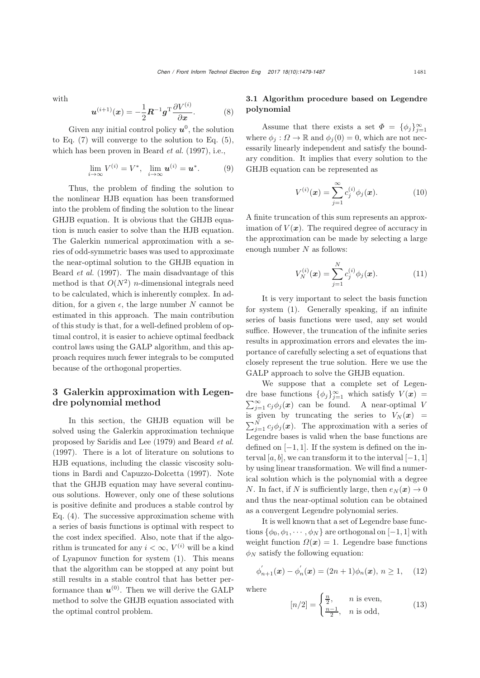with

$$
\boldsymbol{u}^{(i+1)}(\boldsymbol{x}) = -\frac{1}{2}\boldsymbol{R}^{-1}\boldsymbol{g}^{\mathrm{T}}\frac{\partial V^{(i)}}{\partial \boldsymbol{x}}.\tag{8}
$$

Given any initial control policy  $u^0$ , the solution<br> $\alpha$ , (7) will converge to the solution to  $\mathbf{F}_{\alpha}$ , (5) to Eq.  $(7)$  will converge to the solution to Eq.  $(5)$ , which has been proven in [Beard](#page-8-10) *et al.* [\(1997\)](#page-8-10), i.e.,

$$
\lim_{i \to \infty} V^{(i)} = V^*, \ \ \lim_{i \to \infty} \mathbf{u}^{(i)} = \mathbf{u}^*.
$$
 (9)

Thus, the problem of finding the solution to the nonlinear HJB equation has been transformed into the problem of finding the solution to the linear GHJB equation. It is obvious that the GHJB equation is much easier to solve than the HJB equation. The Galerkin numerical approximation with a series of odd-symmetric bases was used to approximate the near-optimal solution to the GHJB equation in [Beard](#page-8-10) *et al.* [\(1997](#page-8-10)). The main disadvantage of this method is that  $O(N^2)$  *n*-dimensional integrals need to be calculated, which is inherently complex. In addition, for a given  $\epsilon$ , the large number N cannot be estimated in this approach. The main contribution of this study is that, for a well-defined problem of optimal control, it is easier to achieve optimal feedback control laws using the GALP algorithm, and this approach requires much fewer integrals to be computed because of the orthogonal properties.

# 3 Galerkin approximation with Legendre polynomial method

In this section, the GHJB equation will be solved using the Galerkin approximation technique proposed by [Saridis and Lee](#page-8-11) [\(1979](#page-8-11)) and [Beard](#page-8-10) *et al.* [\(1997](#page-8-10)). There is a lot of literature on solutions to HJB equations, including the classic viscosity solutions in [Bardi and Capuzzo-Dolcetta](#page-8-16) [\(1997](#page-8-16)). Note that the GHJB equation may have several continuous solutions. However, only one of these solutions is positive definite and produces a stable control by Eq. [\(4\)](#page-1-4). The successive approximation scheme with a series of basis functions is optimal with respect to the cost index specified. Also, note that if the algorithm is truncated for any  $i < \infty$ ,  $V^{(i)}$  will be a kind of Lyapunov function for system [\(1\)](#page-1-0). This means that the algorithm can be stopped at any point but still results in a stable control that has better performance than  $u^{(0)}$ . Then we will derive the GALP method to solve the GHJB equation associated with the optimal control problem.

# 3.1 Algorithm procedure based on Legendre polynomial

Assume that there exists a set  $\Phi = {\phi_j}_{j=1}^{\infty}$ where  $\phi_i : \Omega \to \mathbb{R}$  and  $\phi_i(0) = 0$ , which are not necessarily linearly independent and satisfy the boundary condition. It implies that every solution to the GHJB equation can be represented as

<span id="page-2-0"></span>
$$
V^{(i)}(\mathbf{x}) = \sum_{j=1}^{\infty} c_j^{(i)} \phi_j(\mathbf{x}).
$$
 (10)

A finite truncation of this sum represents an approximation of  $V(x)$ . The required degree of accuracy in the approximation can be made by selecting a large enough number  $N$  as follows:

<span id="page-2-1"></span>
$$
V_N^{(i)}(\mathbf{x}) = \sum_{j=1}^N c_j^{(i)} \phi_j(\mathbf{x}).
$$
 (11)

It is very important to select the basis function for system [\(1\)](#page-1-0). Generally speaking, if an infinite series of basis functions were used, any set would suffice. However, the truncation of the infinite series results in approximation errors and elevates the importance of carefully selecting a set of equations that closely represent the true solution. Here we use the GALP approach to solve the GHJB equation.

We suppose that a complete set of Legendre base functions  $\{\phi_j\}_{j=1}^{\infty}$  which satisfy  $V(\mathbf{x}) = \sum_{j=1}^{\infty} a_j \phi_j(\mathbf{x})$  can be found as a post-original V  $\sum_{j=1}^{\infty} c_j \phi_j(\boldsymbol{x})$  can be found. A near-optimal V is given by truncating the series to  $V_N(x)$  =  $\sum_{j=1}^{N} c_j \phi_j(\boldsymbol{x})$ . The approximation with a series of Legendre bases is valid when the base functions are defined on  $[-1, 1]$ . If the system is defined on the interval [a, b], we can transform it to the interval  $[-1, 1]$ by using linear transformation. We will find a numerical solution which is the polynomial with a degree N. In fact, if N is sufficiently large, then  $e_N(x) \to 0$ and thus the near-optimal solution can be obtained as a convergent Legendre polynomial series.

It is well known that a set of Legendre base functions  $\{\phi_0, \phi_1, \cdots, \phi_N\}$  are orthogonal on  $[-1, 1]$  with weight function  $\Omega(x)=1$ . Legendre base functions  $\phi_N$  satisfy the following equation:

$$
\phi'_{n+1}(\boldsymbol{x}) - \phi'_{n}(\boldsymbol{x}) = (2n+1)\phi_{n}(\boldsymbol{x}), \ n \ge 1, \quad (12)
$$

where

$$
[n/2] = \begin{cases} \frac{n}{2}, & n \text{ is even,} \\ \frac{n-1}{2}, & n \text{ is odd,} \end{cases}
$$
 (13)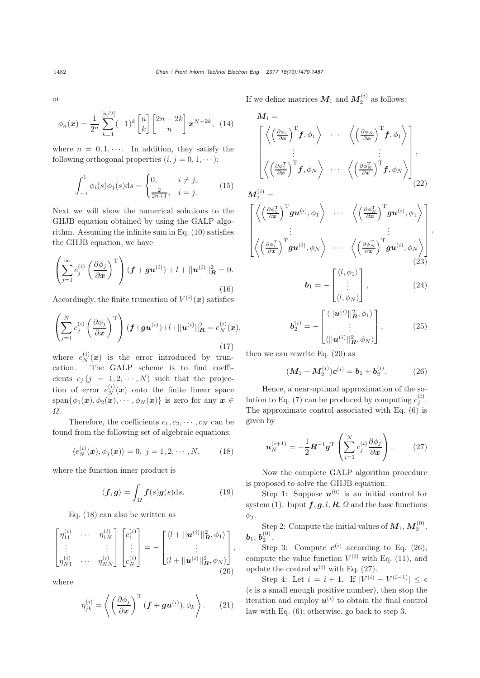or

$$
\phi_n(x) = \frac{1}{2^n} \sum_{k=1}^{[n/2]} (-1)^k \begin{bmatrix} n \\ k \end{bmatrix} \begin{bmatrix} 2n - 2k \\ n \end{bmatrix} x^{N-2k}, \tag{14}
$$

where  $n = 0, 1, \dots$ . In addition, they satisfy the following orthogonal properties  $(i, j = 0, 1, \dots)$ :

$$
\int_{-1}^{1} \phi_i(s)\phi_j(s)ds = \begin{cases} 0, & i \neq j, \\ \frac{2}{2n+1}, & i = j. \end{cases}
$$
 (15)

Next we will show the numerical solutions to the GHJB equation obtained by using the GALP algorithm. Assuming the infinite sum in Eq. [\(10\)](#page-2-0) satisfies the GHJB equation, we have

$$
\left(\sum_{j=1}^{\infty} c_j^{(i)} \left(\frac{\partial \phi_j}{\partial x}\right)^{\mathrm{T}}\right) (f + g u^{(i)}) + l + ||u^{(i)}||^2_{\mathbf{R}} = 0.
$$
\n(16)

Accordingly, the finite truncation of  $V^{(i)}(x)$  satisfies

$$
\left(\sum_{j=1}^{N} c_j^{(i)} \left(\frac{\partial \phi_j}{\partial x}\right)^{\mathrm{T}}\right) (f + g u^{(i)}) + l + ||u^{(i)}||^2_{\mathbf{R}} = e_N^{(i)}(\mathbf{x}),\tag{17}
$$

where  $e_N^{(i)}(x)$  is the error introduced by trun-<br>cation The CALP seheme is to find sooffication. The GALP scheme is to find coefficients  $c_j$  (j = 1, 2,  $\cdots$  , N) such that the projection of error  $e_N^{(i)}(x)$  onto the finite linear space span $\{\phi_1(\bm{x}), \phi_2(\bm{x}), \cdots, \phi_N(\bm{x})\}$  is zero for any  $\bm{x} \in$  $\Omega$ .

Therefore, the coefficients  $c_1, c_2, \cdots, c_N$  can be found from the following set of algebraic equations:

<span id="page-3-0"></span>
$$
\langle e_N^{(i)}(\boldsymbol{x}), \phi_j(\boldsymbol{x}) \rangle = 0, \ j = 1, 2, \cdots, N, \qquad (18)
$$

where the function inner product is

$$
\langle \mathbf{f}, \mathbf{g} \rangle = \int_{\Omega} \mathbf{f}(s) \mathbf{g}(s) \, \mathrm{d}s. \tag{19}
$$

Eq. [\(18\)](#page-3-0) can also be written as

<span id="page-3-1"></span>
$$
\begin{bmatrix} \eta_{11}^{(i)} & \cdots & \eta_{1N}^{(i)} \\ \vdots & & \vdots \\ \eta_{N1}^{(i)} & \cdots & \eta_{NN}^{(i)} \end{bmatrix} \begin{bmatrix} c_1^{(i)} \\ \vdots \\ c_N^{(i)} \end{bmatrix} = - \begin{bmatrix} \langle l + ||\boldsymbol{u}^{(i)}||_{\boldsymbol{R}}^2, \phi_1 \rangle \\ \vdots \\ \langle l + ||\boldsymbol{u}^{(i)}||_{\boldsymbol{R}}^2, \phi_N \rangle \end{bmatrix},
$$
\n(20)

where

$$
\eta_{jk}^{(i)} = \left\langle \left(\frac{\partial \phi_j}{\partial x}\right)^{\mathrm{T}} (\boldsymbol{f} + \boldsymbol{g} \boldsymbol{u}^{(i)}), \phi_k \right\rangle. \tag{21}
$$

If we define matrices  $M_1$  and  $M_2^{(i)}$  as follows:

$$
M_{1} = \begin{bmatrix} \left\langle \left(\frac{\partial \phi_{1}}{\partial x}\right)^{T} f, \phi_{1} \right\rangle & \cdots & \left\langle \left(\frac{\partial \phi_{N}}{\partial x}\right)^{T} f, \phi_{1} \right\rangle \\ \vdots & \vdots & \vdots \\ \left\langle \left(\frac{\partial \phi_{1}^{T}}{\partial x}\right)^{T} f, \phi_{N} \right\rangle & \cdots & \left\langle \left(\frac{\partial \phi_{N}^{T}}{\partial x}\right)^{T} f, \phi_{N} \right\rangle \end{bmatrix},
$$
  
\n
$$
M_{2}^{(i)} = \begin{bmatrix} \left\langle \left(\frac{\partial \phi_{1}^{T}}{\partial x}\right)^{T} g u^{(i)}, \phi_{1} \right\rangle & \cdots & \left\langle \left(\frac{\partial \phi_{N}^{T}}{\partial x}\right)^{T} g u^{(i)}, \phi_{1} \right\rangle \\ \vdots & \vdots \\ \left\langle \left(\frac{\partial \phi_{1}^{T}}{\partial x}\right)^{T} g u^{(i)}, \phi_{N} \right\rangle & \cdots & \left\langle \left(\frac{\partial \phi_{N}^{T}}{\partial x}\right)^{T} g u^{(i)}, \phi_{N} \right\rangle \end{bmatrix},
$$
  
\n
$$
b_{1} = - \begin{bmatrix} \langle l, \phi_{1} \rangle \\ \vdots \\ \langle l, \phi_{N} \rangle \end{bmatrix},
$$
  
\n(24)

$$
\boldsymbol{b}_2^{(i)} = -\begin{bmatrix} \langle ||\boldsymbol{u}^{(i)}||^2_{\boldsymbol{R}}, \phi_1 \rangle \\ \vdots \\ \langle ||\boldsymbol{u}^{(i)}||^2_{\boldsymbol{R}}, \phi_N \rangle \end{bmatrix}, \qquad (25)
$$

then we can rewrite Eq. [\(20\)](#page-3-1) as

<span id="page-3-2"></span>
$$
(M_1 + M_2^{(i)})c^{(i)} = b_1 + b_2^{(i)}.
$$
 (26)

Hence, a near-optimal approximation of the so-lution to Eq. [\(7\)](#page-1-3) can be produced by computing  $c_j^{(i)}$ . The approximate control associated with Eq.  $(6)$  is given by

<span id="page-3-3"></span>
$$
\boldsymbol{u}_N^{(i+1)} = -\frac{1}{2}\boldsymbol{R}^{-1}\boldsymbol{g}^{\mathrm{T}}\left(\sum_{j=1}^N c_j^{(i)}\frac{\partial \phi_j}{\partial \boldsymbol{x}}\right). \tag{27}
$$

Now the complete GALP algorithm procedure is proposed to solve the GHJB equation:

Step 1: Suppose  $u^{(0)}$  is an initial control for system [\(1\)](#page-1-0). Input  $f, g, l, R, \Omega$  and the base functions  $\phi_i$ .

Step 2: Compute the initial values of  $M_1, M_2^{(0)},$  $\bm{b}_1,\,\bm{b}_2^{(0)}.$ 

Step 3: Compute  $c^{(i)}$  according to Eq. [\(26\)](#page-3-2), compute the value function  $V^{(i)}$  with Eq. [\(11\)](#page-2-1), and update the control  $u^{(i)}$  with Eq. [\(27\)](#page-3-3).

Step 4: Let  $i = i + 1$ . If  $|V^{(i)} - V^{(i-1)}| < \epsilon$  $(\epsilon \text{ is a small enough positive number}),$  then stop the iteration and employ  $u^{(i)}$  to obtain the final control law with Eq. [\(6\)](#page-1-1); otherwise, go back to step 3.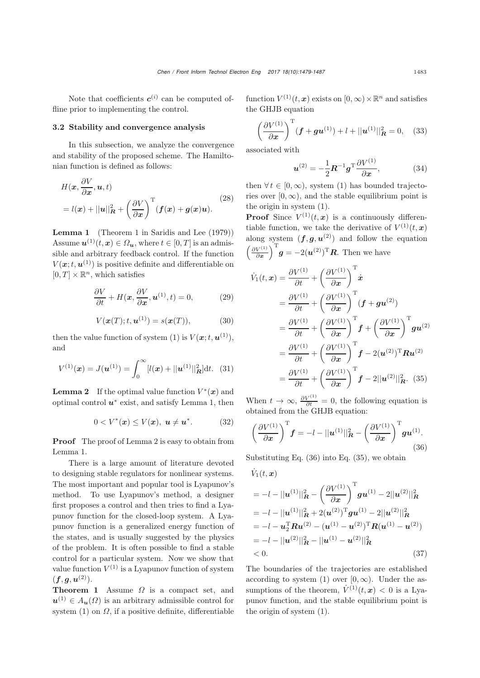Note that coefficients  $c^{(i)}$  can be computed offline prior to implementing the control.

### 3.2 Stability and convergence analysis

In this subsection, we analyze the convergence and stability of the proposed scheme. The Hamiltonian function is defined as follows:

$$
H(\mathbf{x}, \frac{\partial V}{\partial \mathbf{x}}, \mathbf{u}, t)
$$
  
=  $l(\mathbf{x}) + ||\mathbf{u}||_R^2 + \left(\frac{\partial V}{\partial \mathbf{x}}\right)^T (\mathbf{f}(\mathbf{x}) + \mathbf{g}(\mathbf{x})\mathbf{u}).$  (28)

Lemma 1 (Theorem 1 in [Saridis and Lee](#page-8-11) [\(1979\)](#page-8-11)) Assume  $u^{(1)}(t, x) \in \Omega_u$ , where  $t \in [0, T]$  is an admissible and arbitrary feedback control. If the function  $V(\boldsymbol{x};t,\boldsymbol{u}^{(1)})$  is positive definite and differentiable on  $[0, T] \times \mathbb{R}^n$ , which satisfies

$$
\frac{\partial V}{\partial t} + H(x, \frac{\partial V}{\partial x}, \mathbf{u}^{(1)}, t) = 0,\tag{29}
$$

$$
V(\mathbf{x}(T); t, \mathbf{u}^{(1)}) = s(\mathbf{x}(T)),
$$
 (30)

then the value function of system [\(1\)](#page-1-0) is  $V(\mathbf{x}; t, \mathbf{u}^{(1)})$ , and

$$
V^{(1)}(\boldsymbol{x}) = J(\boldsymbol{u}^{(1)}) = \int_0^\infty [l(\boldsymbol{x}) + ||\boldsymbol{u}^{(1)}||^2_{\boldsymbol{R}}] \mathrm{d}t. \tag{31}
$$

**Lemma 2** If the optimal value function  $V^*(x)$  and optimal control *u*<sup>∗</sup> exist, and satisfy Lemma 1, then

$$
0 < V^*(\boldsymbol{x}) \le V(\boldsymbol{x}), \ \boldsymbol{u} \ne \boldsymbol{u}^* \tag{32}
$$

Proof The proof of Lemma 2 is easy to obtain from Lemma 1.

There is a large amount of literature devoted to designing stable regulators for nonlinear systems. The most important and popular tool is Lyapunov's method. To use Lyapunov's method, a designer first proposes a control and then tries to find a Lyapunov function for the closed-loop system. A Lyapunov function is a generalized energy function of the states, and is usually suggested by the physics of the problem. It is often possible to find a stable control for a particular system. Now we show that value function  $V^{(1)}$  is a Lyapunov function of system  $(f, q, u^{(2)})$ .

Theorem 1 Assume  $\Omega$  is a compact set, and  $u^{(1)} \in A_u(\Omega)$  is an arbitrary admissible control for system [\(1\)](#page-1-0) on  $\Omega$ , if a positive definite, differentiable function  $V^{(1)}(t, x)$  exists on  $[0, \infty) \times \mathbb{R}^n$  and satisfies the GHJB equation

$$
\left(\frac{\partial V^{(1)}}{\partial x}\right)^{\mathrm{T}} (f + g u^{(1)}) + l + ||u^{(1)}||^2_{\mathbf{R}} = 0, \quad (33)
$$

associated with

$$
\boldsymbol{u}^{(2)} = -\frac{1}{2}\boldsymbol{R}^{-1}\boldsymbol{g}^{\mathrm{T}}\frac{\partial V^{(1)}}{\partial \boldsymbol{x}},\tag{34}
$$

then  $\forall t \in [0, \infty)$ , system [\(1\)](#page-1-0) has bounded trajecto-<br>wise system  $[0, \infty)$ , and the stable squilibrium point is ries over  $[0, \infty)$ , and the stable equilibrium point is the origin in system [\(1\)](#page-1-0).

**Proof** Since  $V^{(1)}(t, x)$  is a continuously differentiable function, we take the derivative of  $V^{(1)}(t, x)$ along system  $(f, g, u^{(2)})$  and follow the equation  $\left(\frac{\partial V^{(1)}}{\partial x}\right)^{\mathrm{T}} g = -2(u^{(2)})^{\mathrm{T}} R$ . Then we have

$$
\dot{V}_1(t, x) = \frac{\partial V^{(1)}}{\partial t} + \left(\frac{\partial V^{(1)}}{\partial x}\right)^{\mathrm{T}} \dot{x}
$$
\n
$$
= \frac{\partial V^{(1)}}{\partial t} + \left(\frac{\partial V^{(1)}}{\partial x}\right)^{\mathrm{T}} (f + g u^{(2)})
$$
\n
$$
= \frac{\partial V^{(1)}}{\partial t} + \left(\frac{\partial V^{(1)}}{\partial x}\right)^{\mathrm{T}} f + \left(\frac{\partial V^{(1)}}{\partial x}\right)^{\mathrm{T}} g u^{(2)}
$$
\n
$$
= \frac{\partial V^{(1)}}{\partial t} + \left(\frac{\partial V^{(1)}}{\partial x}\right)^{\mathrm{T}} f - 2(u^{(2)})^{\mathrm{T}} Ru^{(2)}
$$
\n
$$
= \frac{\partial V^{(1)}}{\partial t} + \left(\frac{\partial V^{(1)}}{\partial x}\right)^{\mathrm{T}} f - 2||u^{(2)}||_R^2. (35)
$$

<span id="page-4-1"></span>When  $t \to \infty$ ,  $\frac{\partial V^{(1)}}{\partial t} = 0$ , the following equation is obtained from the GHJB equation:

<span id="page-4-0"></span>
$$
\left(\frac{\partial V^{(1)}}{\partial x}\right)^{\mathrm{T}}\mathbf{f} = -l - ||\mathbf{u}^{(1)}||_{\mathbf{R}}^2 - \left(\frac{\partial V^{(1)}}{\partial x}\right)^{\mathrm{T}}\mathbf{g}\mathbf{u}^{(1)}.
$$
\n(36)

Substituting Eq. [\(36\)](#page-4-0) into Eq. [\(35\)](#page-4-1), we obtain

$$
V_1(t, x)
$$
  
=  $-l - ||u^{(1)}||_R^2 - \left(\frac{\partial V^{(1)}}{\partial x}\right)^T g u^{(1)} - 2||u^{(2)}||_R^2$   
=  $-l - ||u^{(1)}||_R^2 + 2(u^{(2)})^T g u^{(1)} - 2||u^{(2)}||_R^2$   
=  $-l - u_2^T R u^{(2)} - (u^{(1)} - u^{(2)})^T R (u^{(1)} - u^{(2)})$   
=  $-l - ||u^{(2)}||_R^2 - ||u^{(1)} - u^{(2)}||_R^2$   
< 0. (37)

The boundaries of the trajectories are established according to system [\(1\)](#page-1-0) over [0,  $\infty$ ). Under the assumptions of the theorem,  $\dot{V}^{(1)}(t, x) < 0$  is a Lyapunov function, and the stable equilibrium point is the origin of system [\(1\)](#page-1-0).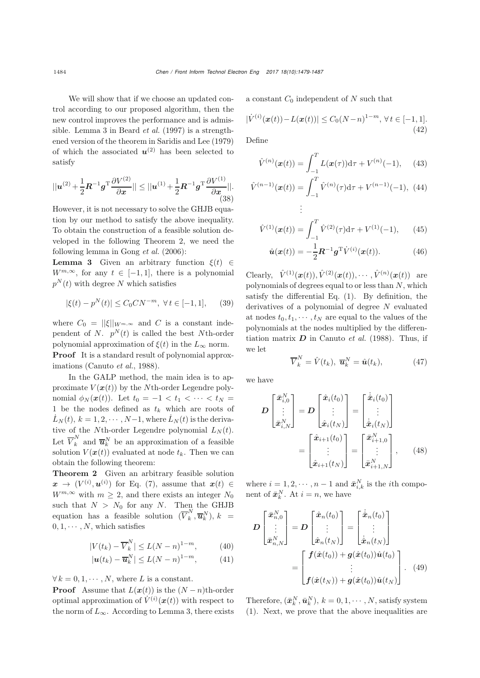We will show that if we choose an updated control according to our proposed algorithm, then the new control improves the performance and is admissible. Lemma 3 in [Beard](#page-8-10) *et al.* [\(1997\)](#page-8-10) is a strengthened version of the theorem in [Saridis and Lee](#page-8-11) [\(1979](#page-8-11)) of which the associated  $u^{(2)}$  has been selected to satisfy

$$
||u^{(2)} + \frac{1}{2}R^{-1}g^{T}\frac{\partial V^{(2)}}{\partial x}|| \leq ||u^{(1)} + \frac{1}{2}R^{-1}g^{T}\frac{\partial V^{(1)}}{\partial x}||.
$$
\n(38)

However, it is not necessary to solve the GHJB equation by our method to satisfy the above inequality. To obtain the construction of a feasible solution developed in the following Theorem 2, we need the following lemma in [Gong](#page-8-12) *et al.* [\(2006\)](#page-8-12):

**Lemma 3** Given an arbitrary function  $\xi(t) \in$  $W^{m,\infty}$ , for any  $t \in [-1,1]$ , there is a polynomial  $p^{N}(t)$  with degree N which satisfies

$$
|\xi(t) - p^{N}(t)| \le C_0 C N^{-m}, \ \forall t \in [-1, 1], \qquad (39)
$$

where  $C_0 = ||\xi||_{W^{m,\infty}}$  and C is a constant independent of N.  $p^{N}(t)$  is called the best Nth-order polynomial approximation of  $\xi(t)$  in the  $L_{\infty}$  norm. Proof It is a standard result of polynomial approximations [\(Canuto](#page-8-17) *et al.*, [1988\)](#page-8-17).

In the GALP method, the main idea is to approximate  $V(\boldsymbol{x}(t))$  by the Nth-order Legendre polynomial  $\phi_N(\boldsymbol{x}(t))$ . Let  $t_0 = -1 < t_1 < \cdots < t_N =$ 1 be the nodes defined as  $t_k$  which are roots of  $L_N(t)$ ,  $k = 1, 2, \dots, N-1$ , where  $L_N(t)$  is the derivative of the Nth-order Legendre polynomial  $L_N(t)$ . Let  $\overline{V}_k^N$  and  $\overline{u}_k^N$  be an approximation of a feasible<br>colution  $V(x^{(t)})$  explored at node t. Then we can solution  $V(\boldsymbol{x}(t))$  evaluated at node  $t_k$ . Then we can obtain the following theorem:

Theorem 2 Given an arbitrary feasible solution  $x \to (V^{(i)}, u^{(i)})$  for Eq. [\(7\)](#page-1-3), assume that  $x(t) \in$ <br>*W<sup>m,∞</sup>* with  $m > 2$  and there evists an integer *N*.  $W^{m,\infty}$  with  $m \geq 2$ , and there exists an integer  $N_0$ such that  $N > N_0$  for any N. Then the GHJB equation has a feasible solution  $(\overline{V}_k^N, \overline{\bm{u}}_k^N), k =$  $0, 1, \cdots, N$ , which satisfies

$$
|V(t_k) - \overline{V}_k^N| \le L(N - n)^{1 - m},\tag{40}
$$

$$
|\boldsymbol{u}(t_k) - \overline{\boldsymbol{u}}_k^N| \le L(N - n)^{1 - m}, \qquad (41)
$$

 $\forall k = 0, 1, \dots, N$ , where L is a constant.

**Proof** Assume that  $L(\boldsymbol{x}(t))$  is the  $(N - n)$ th-order optimal approximation of  $\dot{V}^{(i)}(\mathbf{x}(t))$  with respect to the norm of  $L_{\infty}$ . According to Lemma 3, there exists a constant  $C_0$  independent of N such that

$$
|\dot{V}^{(i)}(\boldsymbol{x}(t)) - L(\boldsymbol{x}(t))| \le C_0 (N - n)^{1 - m}, \,\forall \, t \in [-1, 1].
$$
\n(42)

Define

$$
\hat{V}^{(n)}(\boldsymbol{x}(t)) = \int_{-1}^{T} L(\boldsymbol{x}(\tau)) \mathrm{d}\tau + V^{(n)}(-1), \quad (43)
$$

$$
\hat{V}^{(n-1)}(\boldsymbol{x}(t)) = \int_{-1}^{T} \hat{V}^{(n)}(\tau) d\tau + V^{(n-1)}(-1), \tag{44}
$$
\n
$$
\vdots
$$

$$
\hat{V}^{(1)}(\boldsymbol{x}(t)) = \int_{-1}^{T} \hat{V}^{(2)}(\tau) d\tau + V^{(1)}(-1), \qquad (45)
$$

$$
\hat{\boldsymbol{u}}(\boldsymbol{x}(t)) = -\frac{1}{2}\boldsymbol{R}^{-1}\boldsymbol{g}^{\mathrm{T}}\dot{V}^{(i)}(\boldsymbol{x}(t)).
$$
\n(46)

Clearly,  $\hat{V}^{(1)}(\mathbf{x}(t)), \hat{V}^{(2)}(\mathbf{x}(t)), \cdots, \hat{V}^{(n)}(\mathbf{x}(t))$  are polynomials of degrees equal to or less than N, which satisfy the differential Eq. [\(1\)](#page-1-0). By definition, the derivatives of a polynomial of degree N evaluated at nodes  $t_0, t_1, \dots, t_N$  are equal to the values of the polynomials at the nodes multiplied by the differentiation matrix  $D$  in [Canuto](#page-8-17) *et al.* [\(1988](#page-8-17)). Thus, if we let

$$
\overline{V}_k^N = \hat{V}(t_k), \ \overline{\boldsymbol{u}}_k^N = \hat{\boldsymbol{u}}(t_k), \tag{47}
$$

we have

$$
\boldsymbol{D}\begin{bmatrix} \bar{\boldsymbol{x}}_{i,0}^{N} \\ \vdots \\ \bar{\boldsymbol{x}}_{i,N}^{N} \end{bmatrix} = \boldsymbol{D}\begin{bmatrix} \hat{\boldsymbol{x}}_{i}(t_{0}) \\ \vdots \\ \hat{\boldsymbol{x}}_{i}(t_{N}) \end{bmatrix} = \begin{bmatrix} \dot{\hat{\boldsymbol{x}}}_{i}(t_{0}) \\ \vdots \\ \dot{\hat{\boldsymbol{x}}}_{i}(t_{N}) \end{bmatrix}
$$

$$
= \begin{bmatrix} \hat{\boldsymbol{x}}_{i+1}(t_{0}) \\ \vdots \\ \hat{\boldsymbol{x}}_{i+1}(t_{N}) \end{bmatrix} = \begin{bmatrix} \bar{\boldsymbol{x}}_{i+1,0}^{N} \\ \vdots \\ \bar{\boldsymbol{x}}_{i+1,N}^{N} \end{bmatrix}, \quad (48)
$$

where  $i = 1, 2, \dots, n-1$  and  $\bar{x}_{i,k}^N$  is the *i*<sup>th</sup> compo-<br>pant of  $\bar{x}_i^N$ ,  $\Lambda^*$  i = n we have nent of  $\bar{x}_k^N$ . At  $i = n$ , we have

<span id="page-5-0"></span>
$$
D\begin{bmatrix} \bar{x}_{n,0}^N \\ \vdots \\ \bar{x}_{n,N}^N \end{bmatrix} = D\begin{bmatrix} \hat{x}_n(t_0) \\ \vdots \\ \hat{x}_n(t_N) \end{bmatrix} = \begin{bmatrix} \hat{x}_n(t_0) \\ \vdots \\ \hat{x}_n(t_N) \end{bmatrix}
$$

$$
= \begin{bmatrix} f(\hat{x}(t_0)) + g(\hat{x}(t_0))\hat{u}(t_0) \\ \vdots \\ f(\hat{x}(t_N)) + g(\hat{x}(t_0))\hat{u}(t_N) \end{bmatrix}.
$$
(49)

<span id="page-5-1"></span>Therefore,  $(\bar{x}_k^N, \bar{u}_k^N), k = 0, 1, \cdots, N$ , satisfy system<br>(1) North we prove that the above inequalities are [\(1\)](#page-1-0). Next, we prove that the above inequalities are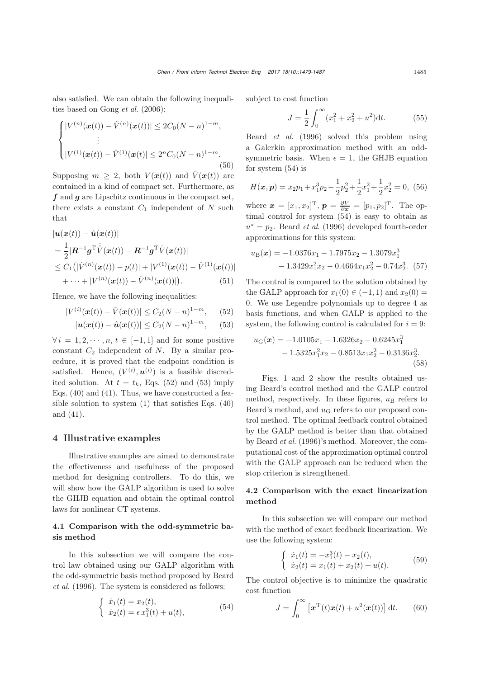also satisfied. We can obtain the following inequalities based on [Gong](#page-8-12) *et al.* [\(2006\)](#page-8-12):

$$
\begin{cases} |V^{(n)}(\boldsymbol{x}(t)) - \hat{V}^{(n)}(\boldsymbol{x}(t))| \le 2C_0(N - n)^{1 - m}, \\ \vdots \\ |V^{(1)}(\boldsymbol{x}(t)) - \hat{V}^{(1)}(\boldsymbol{x}(t))| \le 2^n C_0(N - n)^{1 - m}. \end{cases}
$$
\n(50)

Supposing  $m > 2$ , both  $V(\boldsymbol{x}(t))$  and  $\hat{V}(\boldsymbol{x}(t))$  are contained in a kind of compact set. Furthermore, as *f* and *g* are Lipschitz continuous in the compact set, there exists a constant  $C_1$  independent of N such that

$$
|\boldsymbol{u}(\boldsymbol{x}(t)) - \hat{\boldsymbol{u}}(\boldsymbol{x}(t))|
$$
  
\n
$$
= \frac{1}{2} |\boldsymbol{R}^{-1} \boldsymbol{g}^{\mathrm{T}} \dot{\hat{V}}(\boldsymbol{x}(t)) - \boldsymbol{R}^{-1} \boldsymbol{g}^{\mathrm{T}} \dot{V}(\boldsymbol{x}(t))|
$$
  
\n
$$
\leq C_1 (|\dot{V}^{(n)}(\boldsymbol{x}(t)) - p(t)| + |V^{(1)}(\boldsymbol{x}(t)) - \hat{V}^{(1)}(\boldsymbol{x}(t))| + \cdots + |V^{(n)}(\boldsymbol{x}(t)) - \hat{V}^{(n)}(\boldsymbol{x}(t))|).
$$
 (51)

Hence, we have the following inequalities:

$$
|V^{(i)}(\bm{x}(t)) - \hat{V}(\bm{x}(t))| \le C_2 (N - n)^{1 - m}, \qquad (52)
$$

$$
|\boldsymbol{u}(\boldsymbol{x}(t)) - \hat{\boldsymbol{u}}(\boldsymbol{x}(t))| \le C_2 (N - n)^{1 - m}, \qquad (53)
$$

 $\forall i = 1, 2, \dots, n, t \in [-1, 1]$  and for some positive constant  $C_2$  independent of N. By a similar procedure, it is proved that the endpoint condition is satisfied. Hence,  $(V^{(i)}, u^{(i)})$  is a feasible discred-<br>itsel solution  $\Lambda t$ ,  $t = t$ , Eqs. (52) and (52) imply ited solution. At  $t = t_k$ , Eqs. [\(52\)](#page-6-0) and [\(53\)](#page-6-1) imply Eqs.  $(40)$  and  $(41)$ . Thus, we have constructed a feasible solution to system [\(1\)](#page-1-0) that satisfies Eqs. [\(40\)](#page-5-0) and [\(41\)](#page-5-1).

### 4 Illustrative examples

Illustrative examples are aimed to demonstrate the effectiveness and usefulness of the proposed method for designing controllers. To do this, we will show how the GALP algorithm is used to solve the GHJB equation and obtain the optimal control laws for nonlinear CT systems.

# 4.1 Comparison with the odd-symmetric basis method

In this subsection we will compare the control law obtained using our GALP algorithm with the o[dd-symmetric](#page-8-18) [basis](#page-8-18) [method](#page-8-18) [proposed](#page-8-18) [by](#page-8-18) Beard *et al.* [\(1996\)](#page-8-18). The system is considered as follows:

<span id="page-6-2"></span>
$$
\begin{cases} \n\dot{x}_1(t) = x_2(t), \\ \n\dot{x}_2(t) = \epsilon \, x_1^3(t) + u(t), \n\end{cases} \tag{54}
$$

subject to cost function

$$
J = \frac{1}{2} \int_0^\infty (x_1^2 + x_2^2 + u^2) dt.
$$
 (55)

Beard *et al*. (1996) solved this problem using a Galerkin approximation method with an oddsymmetric basis. When  $\epsilon = 1$ , the GHJB equation for system [\(54\)](#page-6-2) is

$$
H(\mathbf{x}, \mathbf{p}) = x_2 p_1 + x_1^3 p_2 - \frac{1}{2} p_2^2 + \frac{1}{2} x_1^2 + \frac{1}{2} x_2^2 = 0, \tag{56}
$$

where  $\mathbf{x} = [x_1, x_2]^{\mathrm{T}}, \mathbf{p} = \frac{\partial V}{\partial \mathbf{x}} = [p_1, p_2]^{\mathrm{T}}$ . The op-<br>timel control for gratem (54) is easy to obtain as timal control for system  $(54)$  is easy to obtain as  $u^* = p_2$ . Beard *et al.* (1996) developed fourth-order approximations for this system:

$$
u_{\rm B}(x) = -1.0376x_1 - 1.7975x_2 - 1.3079x_1^3
$$
  
- 1.3429x<sub>1</sub><sup>2</sup>x<sub>2</sub> - 0.4664x<sub>1</sub>x<sub>2</sub><sup>2</sup> - 0.74x<sub>2</sub><sup>3</sup>. (57)

<span id="page-6-0"></span>The control is compared to the solution obtained by the GALP approach for  $x_1(0) \in (-1,1)$  and  $x_2(0) =$ 0. We use Legendre polynomials up to degree 4 as basis functions, and when GALP is applied to the system, the following control is calculated for  $i = 9$ :

<span id="page-6-1"></span>
$$
u_{\rm G}(\boldsymbol{x}) = -1.0105x_1 - 1.6326x_2 - 0.6245x_1^3 - 1.5325x_1^2x_2 - 0.8513x_1x_2^2 - 0.3136x_2^3.
$$
\n(58)

Figs. 1 and 2 show the results obtained using Beard's control method and the GALP control method, respectively. In these figures,  $u<sub>B</sub>$  refers to Beard's method, and  $u_G$  refers to our proposed control method. The optimal feedback control obtained by the GALP method is better than that obtained by Beard *et al*. (1996)'s method. Moreover, the computational cost of the approximation optimal control with the GALP approach can be reduced when the stop criterion is strengthened.

# 4.2 Comparison with the exact linearization method

In this subsection we will compare our method with the method of exact feedback linearization. We use the following system:

<span id="page-6-3"></span>
$$
\begin{cases}\n\dot{x}_1(t) = -x_1^3(t) - x_2(t), \\
\dot{x}_2(t) = x_1(t) + x_2(t) + u(t).\n\end{cases} (59)
$$

The control objective is to minimize the quadratic cost function

$$
J = \int_0^\infty \left[ \boldsymbol{x}^{\mathrm{T}}(t)\boldsymbol{x}(t) + u^2(\boldsymbol{x}(t)) \right] \mathrm{d}t. \qquad (60)
$$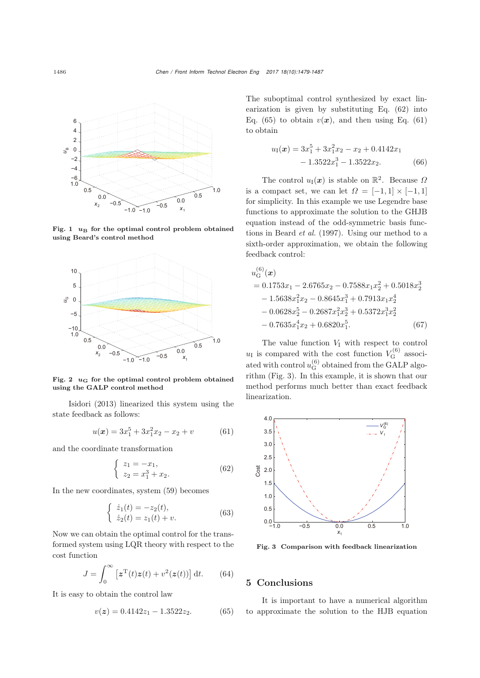

Fig. 1  $u_B$  for the optimal control problem obtained using Beard's control method



Fig. 2  $u_G$  for the optimal control problem obtained using the GALP control method

Isidori [\(2013\)](#page-8-19) linearized this system using the state feedback as follows:

<span id="page-7-2"></span>
$$
u(\boldsymbol{x}) = 3x_1^5 + 3x_1^2 x_2 - x_2 + v \tag{61}
$$

and the coordinate transformation

<span id="page-7-0"></span>
$$
\begin{cases}\n z_1 = -x_1, \\
 z_2 = x_1^3 + x_2.\n\end{cases} (62)
$$

In the new coordinates, system [\(59\)](#page-6-3) becomes

$$
\begin{cases} \n\dot{z}_1(t) = -z_2(t), \\ \n\dot{z}_2(t) = z_1(t) + v. \n\end{cases} \n(63)
$$

Now we can obtain the optimal control for the transformed system using LQR theory with respect to the cost function

$$
J = \int_0^\infty \left[ z^{\mathrm{T}}(t)z(t) + v^2(z(t)) \right] dt. \quad (64)
$$

It is easy to obtain the control law

<span id="page-7-1"></span>
$$
v(z) = 0.4142z_1 - 1.3522z_2.
$$
 (65)

The suboptimal control synthesized by exact linearization is given by substituting Eq. [\(62\)](#page-7-0) into Eq. [\(65\)](#page-7-1) to obtain  $v(x)$ , and then using Eq. [\(61\)](#page-7-2) to obtain

$$
u_{\rm I}(\boldsymbol{x}) = 3x_1^5 + 3x_1^2x_2 - x_2 + 0.4142x_1 - 1.3522x_1^3 - 1.3522x_2.
$$
 (66)

The control  $u_I(\boldsymbol{x})$  is stable on  $\mathbb{R}^2$ . Because  $\Omega$ is a compact set, we can let  $\Omega = [-1, 1] \times [-1, 1]$ for simplicity. In this example we use Legendre base functions to approximate the solution to the GHJB equation instead of the odd-symmetric basis functions in [Beard](#page-8-10) *et al.* [\(1997\)](#page-8-10). Using our method to a sixth-order approximation, we obtain the following feedback control:

$$
u_{\text{G}}^{(6)}(\boldsymbol{x}) = 0.1753x_1 - 2.6765x_2 - 0.7588x_1x_2^2 + 0.5018x_2^3 - 1.5638x_1^2x_2 - 0.8645x_1^3 + 0.7913x_1x_2^4 - 0.0628x_2^5 - 0.2687x_1^2x_2^3 + 0.5372x_1^3x_2^2 - 0.7635x_1^4x_2 + 0.6820x_1^5. \tag{67}
$$

The value function  $V_I$  with respect to control  $u_{\rm I}$  is compared with the cost function  $V_{\rm G}^{(6)}$  associated with control  $u_{\rm G}^{(6)}$  obtained from the GALP algorithm (Fig. 3). In this example, it is shown that our method performs much better than exact feedback linearization.



Fig. 3 Comparison with feedback linearization

# 5 Conclusions

It is important to have a numerical algorithm to approximate the solution to the HJB equation